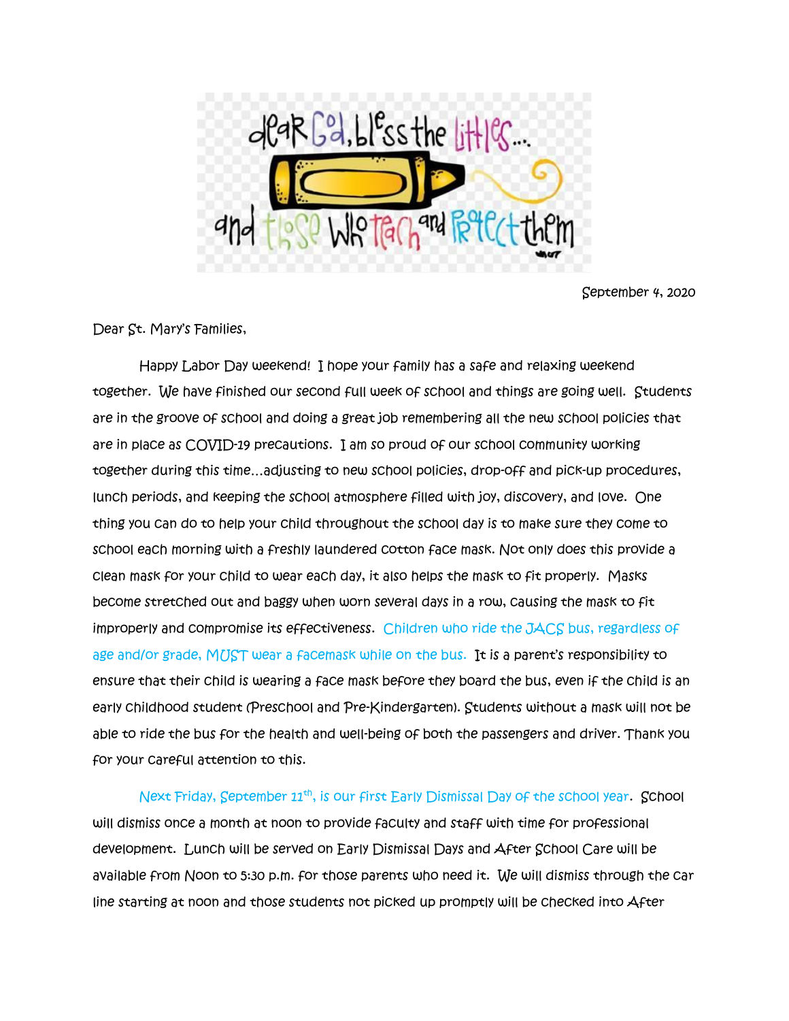

September 4, 2020

Dear St. Mary's Families,

 Happy Labor Day weekend! I hope your family has a safe and relaxing weekend together. We have finished our second full week of school and things are going well. Students are in the groove of school and doing a great job remembering all the new school policies that are in place as COVID-19 precautions. I am so proud of our school community working together during this time…adjusting to new school policies, drop-off and pick-up procedures, lunch periods, and keeping the school atmosphere filled with joy, discovery, and love. One thing you can do to help your child throughout the school day is to make sure they come to school each morning with a freshly laundered cotton face mask. Not only does this provide a clean mask for your child to wear each day, it also helps the mask to fit properly. Masks become stretched out and baggy when worn several days in a row, causing the mask to fit improperly and compromise its effectiveness. Children who ride the JACS bus, regardless of age and/or grade, MUST wear a facemask while on the bus. It is a parent's responsibility to ensure that their child is wearing a face mask before they board the bus, even if the child is an early childhood student (Preschool and Pre-Kindergarten). Students without a mask will not be able to ride the bus for the health and well-being of both the passengers and driver. Thank you for your careful attention to this.

Next Friday, September 11<sup>th</sup>, is our first Early Dismissal Day of the school year. School will dismiss once a month at noon to provide faculty and staff with time for professional development. Lunch will be served on Early Dismissal Days and After School Care will be available from Noon to 5:30 p.m. for those parents who need it. We will dismiss through the car line starting at noon and those students not picked up promptly will be checked into After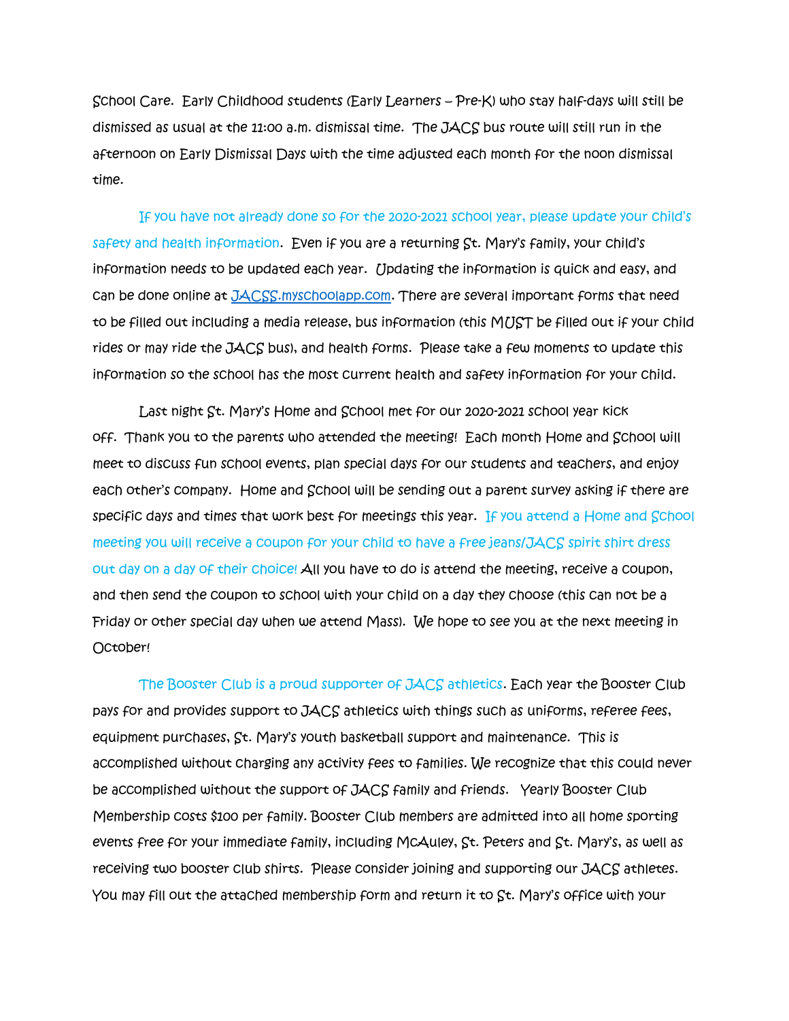School Care. Early Childhood students (Early Learners – Pre-K) who stay half-days will still be dismissed as usual at the 11:00 a.m. dismissal time. The JACS bus route will still run in the afternoon on Early Dismissal Days with the time adjusted each month for the noon dismissal time.

 If you have not already done so for the 2020-2021 school year, please update your child's safety and health information. Even if you are a returning St. Mary's family, your child's information needs to be updated each year. Updating the information is quick and easy, and can be done online at [JACSS.myschoolapp.com.](http://www.jacs.myschoolapp.com/) There are several important forms that need to be filled out including a media release, bus information (this MUST be filled out if your child rides or may ride the JACS bus), and health forms. Please take a few moments to update this information so the school has the most current health and safety information for your child.

 Last night St. Mary's Home and School met for our 2020-2021 school year kick off. Thank you to the parents who attended the meeting! Each month Home and School will meet to discuss fun school events, plan special days for our students and teachers, and enjoy each other's company. Home and School will be sending out a parent survey asking if there are specific days and times that work best for meetings this year. If you attend a Home and School meeting you will receive a coupon for your child to have a free jeans/JACS spirit shirt dress out day on a day of their choice! All you have to do is attend the meeting, receive a coupon, and then send the coupon to school with your child on a day they choose (this can not be a Friday or other special day when we attend Mass). We hope to see you at the next meeting in October!

 The Booster Club is a proud supporter of JACS athletics. Each year the Booster Club pays for and provides support to JACS athletics with things such as uniforms, referee fees, equipment purchases, St. Mary's youth basketball support and maintenance. This is accomplished without charging any activity fees to families. We recognize that this could never be accomplished without the support of JACS family and friends. Yearly Booster Club Membership costs \$100 per family. Booster Club members are admitted into all home sporting events free for your immediate family, including McAuley, St. Peters and St. Mary's, as well as receiving two booster club shirts. Please consider joining and supporting our JACS athletes. You may fill out the attached membership form and return it to St. Mary's office with your